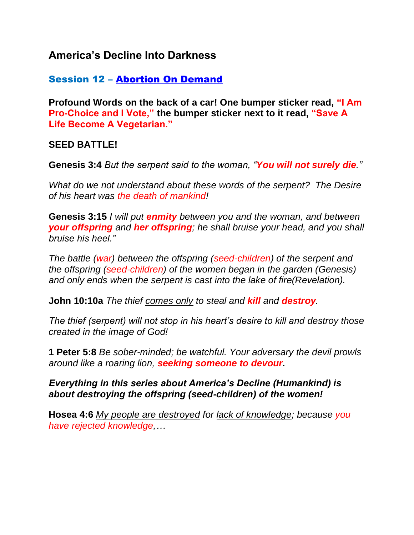# **America's Decline Into Darkness**

## Session 12 – Abortion On Demand

**Profound Words on the back of a car! One bumper sticker read, "I Am Pro-Choice and I Vote," the bumper sticker next to it read, "Save A Life Become A Vegetarian."** 

### **SEED BATTLE!**

**Genesis 3:4** *But the serpent said to the woman, "You will not surely die."*

*What do we not understand about these words of the serpent? The Desire of his heart was the death of mankind!*

**Genesis 3:15** *I will put enmity between you and the woman, and between your offspring and her offspring; he shall bruise your head, and you shall bruise his heel."*

*The battle (war) between the offspring (seed-children) of the serpent and the offspring (seed-children) of the women began in the garden (Genesis) and only ends when the serpent is cast into the lake of fire(Revelation).*

**John 10:10a** *The thief comes only to steal and kill and destroy.*

*The thief (serpent) will not stop in his heart's desire to kill and destroy those created in the image of God!*

**1 Peter 5:8** *Be sober-minded; be watchful. Your adversary the devil prowls around like a roaring lion, seeking someone to devour.*

### *Everything in this series about America's Decline (Humankind) is about destroying the offspring (seed-children) of the women!*

**Hosea 4:6** *My people are destroyed for lack of knowledge; because you have rejected knowledge,…*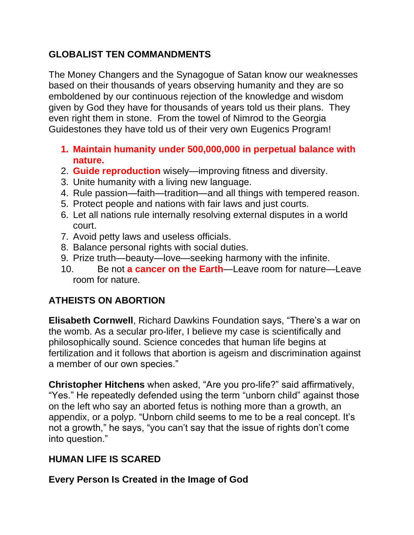## **GLOBALIST TEN COMMANDMENTS**

The Money Changers and the Synagogue of Satan know our weaknesses based on their thousands of years observing humanity and they are so emboldened by our continuous rejection of the knowledge and wisdom given by God they have for thousands of years told us their plans. They even right them in stone. From the towel of Nimrod to the Georgia Guidestones they have told us of their very own Eugenics Program!

- **1. Maintain humanity under 500,000,000 in perpetual balance with nature.**
- 2. **Guide reproduction** wisely—improving fitness and diversity.
- 3. Unite humanity with a living new language.
- 4. Rule passion—faith—tradition—and all things with tempered reason.
- 5. Protect people and nations with fair laws and just courts.
- 6. Let all nations rule internally resolving external disputes in a world court.
- 7. Avoid petty laws and useless officials.
- 8. Balance personal rights with social duties.
- 9. Prize truth—beauty—love—seeking harmony with the infinite.
- 10. Be not **a cancer on the Earth**—Leave room for nature—Leave room for nature.

# **ATHEISTS ON ABORTION**

**Elisabeth Cornwell**, Richard Dawkins Foundation says, "There's a war on the womb. As a secular pro-lifer, I believe my case is scientifically and philosophically sound. Science concedes that human life begins at fertilization and it follows that abortion is ageism and discrimination against a member of our own species."

**Christopher Hitchens** when asked, "Are you pro-life?" said affirmatively, "Yes." He repeatedly defended using the term "unborn child" against those on the left who say an aborted fetus is nothing more than a growth, an appendix, or a polyp. "Unborn child seems to me to be a real concept. It's not a growth," he says, "you can't say that the issue of rights don't come into question."

# **HUMAN LIFE IS SCARED**

**Every Person Is Created in the Image of God**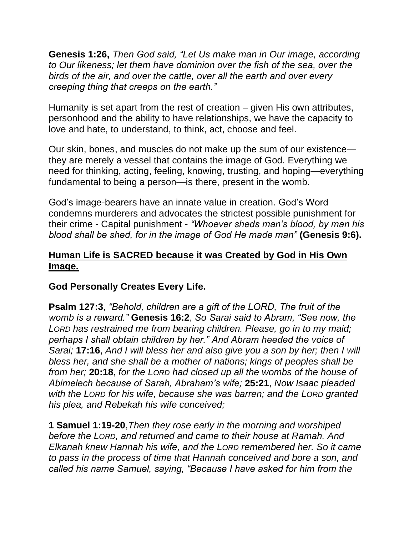**Genesis 1:26,** *Then God said, "Let Us make man in Our image, according to Our likeness; let them have dominion over the fish of the sea, over the birds of the air, and over the cattle, over all the earth and over every creeping thing that creeps on the earth."*

Humanity is set apart from the rest of creation – given His own attributes, personhood and the ability to have relationships, we have the capacity to love and hate, to understand, to think, act, choose and feel.

Our skin, bones, and muscles do not make up the sum of our existence they are merely a vessel that contains the image of God. Everything we need for thinking, acting, feeling, knowing, trusting, and hoping—everything fundamental to being a person—is there, present in the womb.

God's image-bearers have an innate value in creation. God's Word condemns murderers and advocates the strictest possible punishment for their crime - Capital punishment - *"Whoever sheds man's blood, by man his blood shall be shed, for in the image of God He made man"* **(Genesis 9:6).** 

### **Human Life is SACRED because it was Created by God in His Own Image.**

## **God Personally Creates Every Life.**

**Psalm 127:3**, *"Behold, children are a gift of the LORD, The fruit of the womb is a reward."* **Genesis 16:2**, *So Sarai said to Abram, "See now, the LORD has restrained me from bearing children. Please, go in to my maid; perhaps I shall obtain children by her." And Abram heeded the voice of Sarai;* **17:16**, *And I will bless her and also give you a son by her; then I will bless her, and she shall be a mother of nations; kings of peoples shall be from her;* **20:18**, *for the LORD had closed up all the wombs of the house of Abimelech because of Sarah, Abraham's wife;* **25:21**, *Now Isaac pleaded with the LORD for his wife, because she was barren; and the LORD granted his plea, and Rebekah his wife conceived;* 

**1 Samuel 1:19-20**,*Then they rose early in the morning and worshiped before the LORD, and returned and came to their house at Ramah. And Elkanah knew Hannah his wife, and the LORD remembered her. So it came to pass in the process of time that Hannah conceived and bore a son, and called his name Samuel, saying, "Because I have asked for him from the*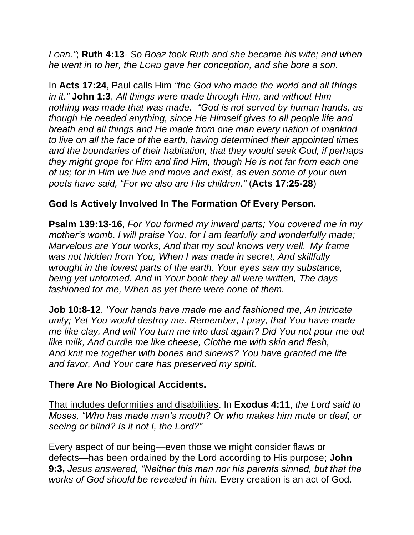*LORD."*; **Ruth 4:13**- *So Boaz took Ruth and she became his wife; and when he went in to her, the LORD gave her conception, and she bore a son.*

In **Acts 17:24**, Paul calls Him *"the God who made the world and all things in it."* **John 1:3**, *All things were made through Him, and without Him nothing was made that was made. "God is not served by human hands, as though He needed anything, since He Himself gives to all people life and breath and all things and He made from one man every nation of mankind to live on all the face of the earth, having determined their appointed times and the boundaries of their habitation, that they would seek God, if perhaps they might grope for Him and find Him, though He is not far from each one of us; for in Him we live and move and exist, as even some of your own poets have said, "For we also are His children."* (**Acts 17:25-28**)

## **God Is Actively Involved In The Formation Of Every Person.**

**Psalm 139:13-16**, *For You formed my inward parts; You covered me in my mother's womb. I will praise You, for I am fearfully and wonderfully made; Marvelous are Your works, And that my soul knows very well. My frame was not hidden from You, When I was made in secret, And skillfully wrought in the lowest parts of the earth. Your eyes saw my substance, being yet unformed. And in Your book they all were written, The days fashioned for me, When as yet there were none of them.*

**Job 10:8-12**, *'Your hands have made me and fashioned me, An intricate unity; Yet You would destroy me. Remember, I pray, that You have made me like clay. And will You turn me into dust again? Did You not pour me out like milk, And curdle me like cheese, Clothe me with skin and flesh, And knit me together with bones and sinews? You have granted me life and favor, And Your care has preserved my spirit.*

## **There Are No Biological Accidents.**

That includes deformities and disabilities. In **Exodus 4:11**, *the Lord said to Moses, "Who has made man's mouth? Or who makes him mute or deaf, or seeing or blind? Is it not I, the Lord?"* 

Every aspect of our being—even those we might consider flaws or defects—has been ordained by the Lord according to His purpose; **John 9:3,** *Jesus answered, "Neither this man nor his parents sinned, but that the works of God should be revealed in him.* Every creation is an act of God.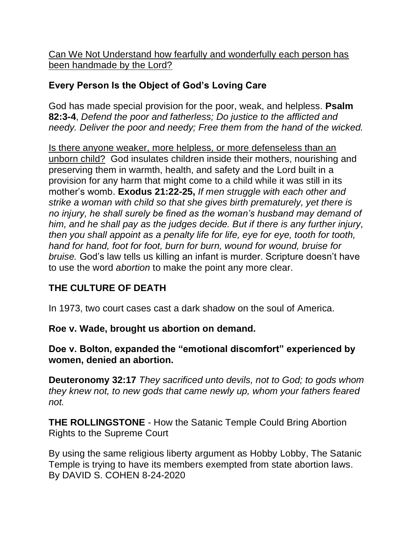Can We Not Understand how fearfully and wonderfully each person has been handmade by the Lord?

## **Every Person Is the Object of God's Loving Care**

God has made special provision for the poor, weak, and helpless. **Psalm 82:3-4**, *Defend the poor and fatherless; Do justice to the afflicted and needy. Deliver the poor and needy; Free them from the hand of the wicked.*

Is there anyone weaker, more helpless, or more defenseless than an unborn child? God insulates children inside their mothers, nourishing and preserving them in warmth, health, and safety and the Lord built in a provision for any harm that might come to a child while it was still in its mother's womb. **Exodus 21:22-25,** *If men struggle with each other and strike a woman with child so that she gives birth prematurely, yet there is no injury, he shall surely be fined as the woman's husband may demand of him, and he shall pay as the judges decide. But if there is any further injury, then you shall appoint as a penalty life for life, eye for eye, tooth for tooth, hand for hand, foot for foot, burn for burn, wound for wound, bruise for bruise.* God's law tells us killing an infant is murder. Scripture doesn't have to use the word *abortion* to make the point any more clear.

# **THE CULTURE OF DEATH**

In 1973, two court cases cast a dark shadow on the soul of America.

**Roe v. Wade, brought us abortion on demand.**

**Doe v. Bolton, expanded the "emotional discomfort" experienced by women, denied an abortion.**

**Deuteronomy 32:17** *They sacrificed unto devils, not to God; to gods whom they knew not, to new gods that came newly up, whom your fathers feared not.*

**THE ROLLINGSTONE** - How the Satanic Temple Could Bring Abortion Rights to the Supreme Court

By using the same religious liberty argument as Hobby Lobby, The Satanic Temple is trying to have its members exempted from state abortion laws. By DAVID S. COHEN 8-24-2020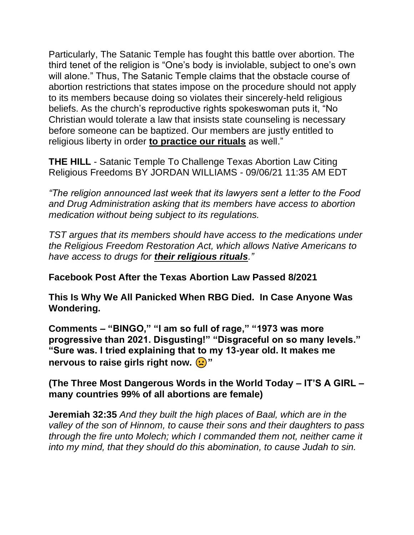Particularly, The Satanic Temple has fought this battle over abortion. The third tenet of the religion is "One's body is inviolable, subject to one's own will alone." Thus, The Satanic Temple claims that the obstacle course of abortion restrictions that states impose on the procedure should not apply to its members because doing so violates their sincerely-held religious beliefs. As the church's reproductive rights spokeswoman puts it, "No Christian would tolerate a law that insists state counseling is necessary before someone can be baptized. Our members are justly entitled to religious liberty in order **to practice our rituals** as well."

**THE HILL** - Satanic Temple To Challenge Texas Abortion Law Citing Religious Freedoms BY JORDAN WILLIAMS - 09/06/21 11:35 AM EDT

*"The religion announced last week that its lawyers sent a letter to the Food and Drug Administration asking that its members have access to abortion medication without being subject to its regulations.*

*TST argues that its members should have access to the medications under the Religious Freedom Restoration Act, which allows Native Americans to have access to drugs for their religious rituals."*

**Facebook Post After the Texas Abortion Law Passed 8/2021**

**This Is Why We All Panicked When RBG Died. In Case Anyone Was Wondering.**

**Comments – "BINGO," "I am so full of rage," "1973 was more progressive than 2021. Disgusting!" "Disgraceful on so many levels." "Sure was. I tried explaining that to my 13-year old. It makes me nervous to raise girls right now.**  $\left(\frac{1}{2}\right)^n$ 

**(The Three Most Dangerous Words in the World Today – IT'S A GIRL – many countries 99% of all abortions are female)**

**Jeremiah 32:35** *And they built the high places of Baal, which are in the valley of the son of Hinnom, to cause their sons and their daughters to pass through the fire unto Molech; which I commanded them not, neither came it into my mind, that they should do this abomination, to cause Judah to sin.*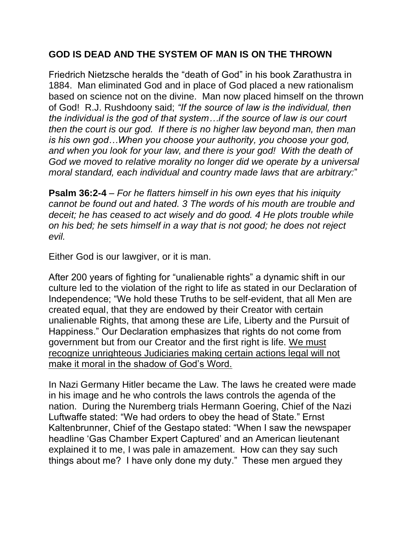## **GOD IS DEAD AND THE SYSTEM OF MAN IS ON THE THROWN**

Friedrich Nietzsche heralds the "death of God" in his book Zarathustra in 1884. Man eliminated God and in place of God placed a new rationalism based on science not on the divine. Man now placed himself on the thrown of God! R.J. Rushdoony said; *"If the source of law is the individual, then the individual is the god of that system…if the source of law is our court then the court is our god. If there is no higher law beyond man, then man is his own god…When you choose your authority, you choose your god, and when you look for your law, and there is your god! With the death of God we moved to relative morality no longer did we operate by a universal moral standard, each individual and country made laws that are arbitrary:*"

**Psalm 36:2-4** – *For he flatters himself in his own eyes that his iniquity cannot be found out and hated. 3 The words of his mouth are trouble and deceit; he has ceased to act wisely and do good. 4 He plots trouble while on his bed; he sets himself in a way that is not good; he does not reject evil.*

Either God is our lawgiver, or it is man.

After 200 years of fighting for "unalienable rights" a dynamic shift in our culture led to the violation of the right to life as stated in our Declaration of Independence; "We hold these Truths to be self-evident, that all Men are created equal, that they are endowed by their Creator with certain unalienable Rights, that among these are Life, Liberty and the Pursuit of Happiness." Our Declaration emphasizes that rights do not come from government but from our Creator and the first right is life. We must recognize unrighteous Judiciaries making certain actions legal will not make it moral in the shadow of God's Word.

In Nazi Germany Hitler became the Law. The laws he created were made in his image and he who controls the laws controls the agenda of the nation. During the Nuremberg trials Hermann Goering, Chief of the Nazi Luftwaffe stated: "We had orders to obey the head of State." Ernst Kaltenbrunner, Chief of the Gestapo stated: "When I saw the newspaper headline 'Gas Chamber Expert Captured' and an American lieutenant explained it to me, I was pale in amazement. How can they say such things about me? I have only done my duty." These men argued they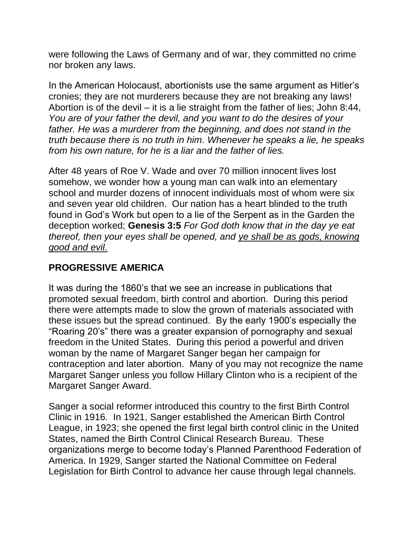were following the Laws of Germany and of war, they committed no crime nor broken any laws.

In the American Holocaust, abortionists use the same argument as Hitler's cronies; they are not murderers because they are not breaking any laws! Abortion is of the devil – it is a lie straight from the father of lies; John 8:44, *You are of your father the devil, and you want to do the desires of your*  father. He was a murderer from the beginning, and does not stand in the *truth because there is no truth in him. Whenever he speaks a lie, he speaks from his own nature, for he is a liar and the father of lies.*

After 48 years of Roe V. Wade and over 70 million innocent lives lost somehow, we wonder how a young man can walk into an elementary school and murder dozens of innocent individuals most of whom were six and seven year old children. Our nation has a heart blinded to the truth found in God's Work but open to a lie of the Serpent as in the Garden the deception worked; **Genesis 3:5** *For God doth know that in the day ye eat thereof, then your eyes shall be opened, and ye shall be as gods, knowing good and evil.*

## **PROGRESSIVE AMERICA**

It was during the 1860's that we see an increase in publications that promoted sexual freedom, birth control and abortion. During this period there were attempts made to slow the grown of materials associated with these issues but the spread continued. By the early 1900's especially the "Roaring 20's" there was a greater expansion of pornography and sexual freedom in the United States. During this period a powerful and driven woman by the name of Margaret Sanger began her campaign for contraception and later abortion. Many of you may not recognize the name Margaret Sanger unless you follow Hillary Clinton who is a recipient of the Margaret Sanger Award.

Sanger a social reformer introduced this country to the first Birth Control Clinic in 1916. In 1921, Sanger established the American Birth Control League, in 1923; she opened the first legal birth control clinic in the United States, named the Birth Control Clinical Research Bureau. These organizations merge to become today's Planned Parenthood Federation of America. In 1929, Sanger started the National Committee on Federal Legislation for Birth Control to advance her cause through legal channels.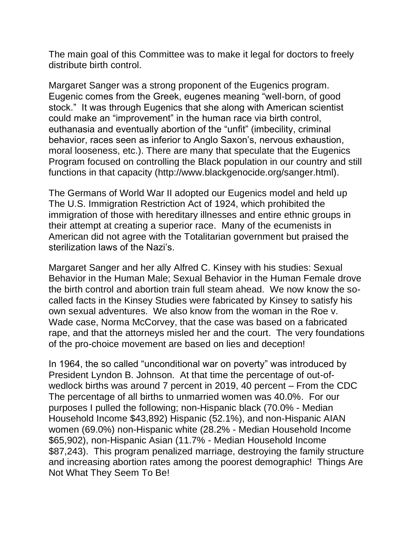The main goal of this Committee was to make it legal for doctors to freely distribute birth control.

Margaret Sanger was a strong proponent of the Eugenics program. Eugenic comes from the Greek, eugenes meaning "well-born, of good stock." It was through Eugenics that she along with American scientist could make an "improvement" in the human race via birth control, euthanasia and eventually abortion of the "unfit" (imbecility, criminal behavior, races seen as inferior to Anglo Saxon's, nervous exhaustion, moral looseness, etc.). There are many that speculate that the Eugenics Program focused on controlling the Black population in our country and still functions in that capacity (http://www.blackgenocide.org/sanger.html).

The Germans of World War II adopted our Eugenics model and held up The U.S. Immigration Restriction Act of 1924, which prohibited the immigration of those with hereditary illnesses and entire ethnic groups in their attempt at creating a superior race. Many of the ecumenists in American did not agree with the Totalitarian government but praised the sterilization laws of the Nazi's.

Margaret Sanger and her ally Alfred C. Kinsey with his studies: Sexual Behavior in the Human Male; Sexual Behavior in the Human Female drove the birth control and abortion train full steam ahead. We now know the socalled facts in the Kinsey Studies were fabricated by Kinsey to satisfy his own sexual adventures. We also know from the woman in the Roe v. Wade case, Norma McCorvey, that the case was based on a fabricated rape, and that the attorneys misled her and the court. The very foundations of the pro-choice movement are based on lies and deception!

In 1964, the so called "unconditional war on poverty" was introduced by President Lyndon B. Johnson. At that time the percentage of out-ofwedlock births was around 7 percent in 2019, 40 percent – From the CDC The percentage of all births to unmarried women was 40.0%. For our purposes I pulled the following; non-Hispanic black (70.0% - Median Household Income \$43,892) Hispanic (52.1%), and non-Hispanic AIAN women (69.0%) non-Hispanic white (28.2% - Median Household Income \$65,902), non-Hispanic Asian (11.7% - Median Household Income \$87,243). This program penalized marriage, destroying the family structure and increasing abortion rates among the poorest demographic! Things Are Not What They Seem To Be!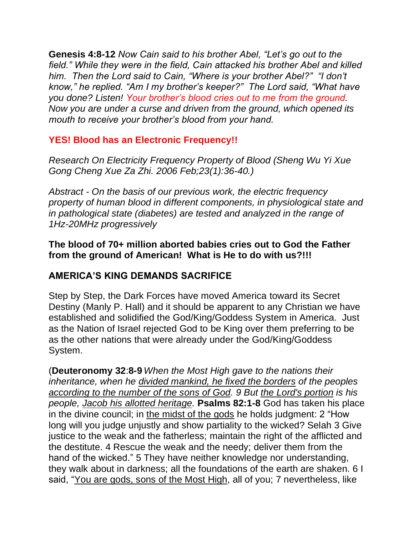**Genesis 4:8-12** *Now Cain said to his brother Abel, "Let's go out to the field." While they were in the field, Cain attacked his brother Abel and killed him. Then the Lord said to Cain, "Where is your brother Abel?" "I don't know," he replied. "Am I my brother's keeper?" The Lord said, "What have you done? Listen! Your brother's blood cries out to me from the ground. Now you are under a curse and driven from the ground, which opened its mouth to receive your brother's blood from your hand.*

## **YES! Blood has an Electronic Frequency!!**

*Research On Electricity Frequency Property of Blood (Sheng Wu Yi Xue Gong Cheng Xue Za Zhi. 2006 Feb;23(1):36-40.)*

*Abstract - On the basis of our previous work, the electric frequency property of human blood in different components, in physiological state and in pathological state (diabetes) are tested and analyzed in the range of 1Hz-20MHz progressively*

**The blood of 70+ million aborted babies cries out to God the Father from the ground of American! What is He to do with us?!!!**

## **AMERICA'S KING DEMANDS SACRIFICE**

Step by Step, the Dark Forces have moved America toward its Secret Destiny (Manly P. Hall) and it should be apparent to any Christian we have established and solidified the God/King/Goddess System in America. Just as the Nation of Israel rejected God to be King over them preferring to be as the other nations that were already under the God/King/Goddess System.

(**Deuteronomy 32**:**8-9** *When the Most High gave to the nations their inheritance, when he divided mankind, he fixed the borders of the peoples according to the number of the sons of God. 9 But the Lord's portion is his people, Jacob his allotted heritage.* **Psalms 82:1-8** God has taken his place in the divine council; in the midst of the gods he holds judgment: 2 "How long will you judge unjustly and show partiality to the wicked? Selah 3 Give justice to the weak and the fatherless; maintain the right of the afflicted and the destitute. 4 Rescue the weak and the needy; deliver them from the hand of the wicked." 5 They have neither knowledge nor understanding, they walk about in darkness; all the foundations of the earth are shaken. 6 I said, "You are gods, sons of the Most High, all of you; 7 nevertheless, like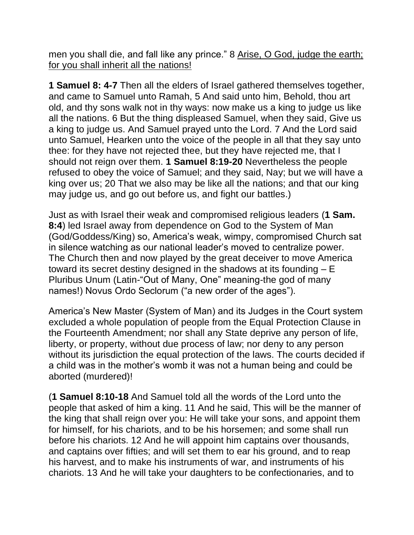men you shall die, and fall like any prince." 8 Arise, O God, judge the earth; for you shall inherit all the nations!

**1 Samuel 8: 4-7** Then all the elders of Israel gathered themselves together, and came to Samuel unto Ramah, 5 And said unto him, Behold, thou art old, and thy sons walk not in thy ways: now make us a king to judge us like all the nations. 6 But the thing displeased Samuel, when they said, Give us a king to judge us. And Samuel prayed unto the Lord. 7 And the Lord said unto Samuel, Hearken unto the voice of the people in all that they say unto thee: for they have not rejected thee, but they have rejected me, that I should not reign over them. **1 Samuel 8:19-20** Nevertheless the people refused to obey the voice of Samuel; and they said, Nay; but we will have a king over us; 20 That we also may be like all the nations; and that our king may judge us, and go out before us, and fight our battles.)

Just as with Israel their weak and compromised religious leaders (**1 Sam. 8:4**) led Israel away from dependence on God to the System of Man (God/Goddess/King) so, America's weak, wimpy, compromised Church sat in silence watching as our national leader's moved to centralize power. The Church then and now played by the great deceiver to move America toward its secret destiny designed in the shadows at its founding – E Pluribus Unum (Latin-"Out of Many, One" meaning-the god of many names!) Novus Ordo Seclorum ("a new order of the ages").

America's New Master (System of Man) and its Judges in the Court system excluded a whole population of people from the Equal Protection Clause in the Fourteenth Amendment; nor shall any State deprive any person of life, liberty, or property, without due process of law; nor deny to any person without its jurisdiction the equal protection of the laws. The courts decided if a child was in the mother's womb it was not a human being and could be aborted (murdered)!

(**1 Samuel 8:10-18** And Samuel told all the words of the Lord unto the people that asked of him a king. 11 And he said, This will be the manner of the king that shall reign over you: He will take your sons, and appoint them for himself, for his chariots, and to be his horsemen; and some shall run before his chariots. 12 And he will appoint him captains over thousands, and captains over fifties; and will set them to ear his ground, and to reap his harvest, and to make his instruments of war, and instruments of his chariots. 13 And he will take your daughters to be confectionaries, and to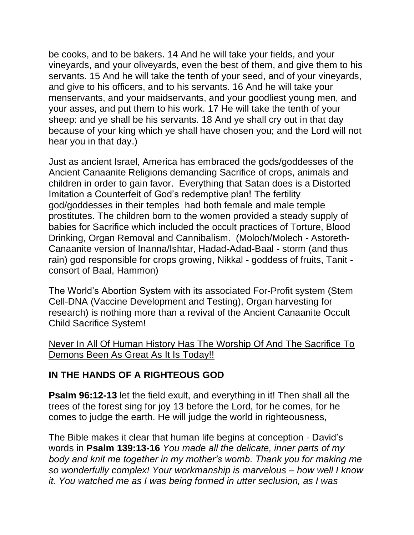be cooks, and to be bakers. 14 And he will take your fields, and your vineyards, and your oliveyards, even the best of them, and give them to his servants. 15 And he will take the tenth of your seed, and of your vineyards, and give to his officers, and to his servants. 16 And he will take your menservants, and your maidservants, and your goodliest young men, and your asses, and put them to his work. 17 He will take the tenth of your sheep: and ye shall be his servants. 18 And ye shall cry out in that day because of your king which ye shall have chosen you; and the Lord will not hear you in that day.)

Just as ancient Israel, America has embraced the gods/goddesses of the Ancient Canaanite Religions demanding Sacrifice of crops, animals and children in order to gain favor. Everything that Satan does is a Distorted Imitation a Counterfeit of God's redemptive plan! The fertility god/goddesses in their temples had both female and male temple prostitutes. The children born to the women provided a steady supply of babies for Sacrifice which included the occult practices of Torture, Blood Drinking, Organ Removal and Cannibalism. (Moloch/Molech - Astoreth-Canaanite version of Inanna/Ishtar, Hadad-Adad-Baal - storm (and thus rain) god responsible for crops growing, Nikkal - goddess of fruits, Tanit consort of Baal, Hammon)

The World's Abortion System with its associated For-Profit system (Stem Cell-DNA (Vaccine Development and Testing), Organ harvesting for research) is nothing more than a revival of the Ancient Canaanite Occult Child Sacrifice System!

#### Never In All Of Human History Has The Worship Of And The Sacrifice To Demons Been As Great As It Is Today!!

## **IN THE HANDS OF A RIGHTEOUS GOD**

**Psalm 96:12-13** let the field exult, and everything in it! Then shall all the trees of the forest sing for joy 13 before the Lord, for he comes, for he comes to judge the earth. He will judge the world in righteousness,

The Bible makes it clear that human life begins at conception - David's words in **Psalm 139:13-16** *You made all the delicate, inner parts of my body and knit me together in my mother's womb. Thank you for making me so wonderfully complex! Your workmanship is marvelous – how well I know it. You watched me as I was being formed in utter seclusion, as I was*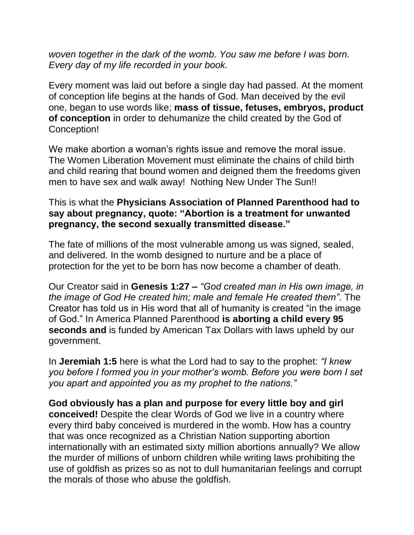*woven together in the dark of the womb. You saw me before I was born. Every day of my life recorded in your book.*

Every moment was laid out before a single day had passed. At the moment of conception life begins at the hands of God. Man deceived by the evil one, began to use words like; **mass of tissue, fetuses, embryos, product of conception** in order to dehumanize the child created by the God of Conception!

We make abortion a woman's rights issue and remove the moral issue. The Women Liberation Movement must eliminate the chains of child birth and child rearing that bound women and deigned them the freedoms given men to have sex and walk away! Nothing New Under The Sun!!

#### This is what the **Physicians Association of Planned Parenthood had to say about pregnancy, quote: "Abortion is a treatment for unwanted pregnancy, the second sexually transmitted disease."**

The fate of millions of the most vulnerable among us was signed, sealed, and delivered. In the womb designed to nurture and be a place of protection for the yet to be born has now become a chamber of death.

Our Creator said in **Genesis 1:27 –** *"God created man in His own image, in the image of God He created him; male and female He created them"*. The Creator has told us in His word that all of humanity is created "in the image of God." In America Planned Parenthood **is aborting a child every 95 seconds and** is funded by American Tax Dollars with laws upheld by our government.

In **Jeremiah 1:5** here is what the Lord had to say to the prophet: *"I knew you before I formed you in your mother's womb. Before you were born I set you apart and appointed you as my prophet to the nations."*

**God obviously has a plan and purpose for every little boy and girl conceived!** Despite the clear Words of God we live in a country where every third baby conceived is murdered in the womb. How has a country that was once recognized as a Christian Nation supporting abortion internationally with an estimated sixty million abortions annually? We allow the murder of millions of unborn children while writing laws prohibiting the use of goldfish as prizes so as not to dull humanitarian feelings and corrupt the morals of those who abuse the goldfish.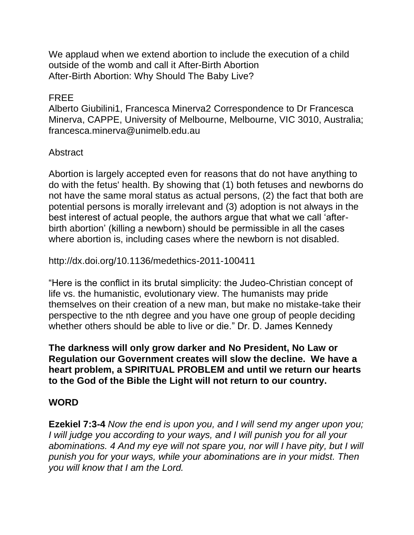We applaud when we extend abortion to include the execution of a child outside of the womb and call it After-Birth Abortion After-Birth Abortion: Why Should The Baby Live?

#### FREE

Alberto Giubilini1, Francesca Minerva2 Correspondence to Dr Francesca Minerva, CAPPE, University of Melbourne, Melbourne, VIC 3010, Australia; francesca.minerva@unimelb.edu.au

#### Abstract

Abortion is largely accepted even for reasons that do not have anything to do with the fetus' health. By showing that (1) both fetuses and newborns do not have the same moral status as actual persons, (2) the fact that both are potential persons is morally irrelevant and (3) adoption is not always in the best interest of actual people, the authors argue that what we call 'afterbirth abortion' (killing a newborn) should be permissible in all the cases where abortion is, including cases where the newborn is not disabled.

http://dx.doi.org/10.1136/medethics-2011-100411

"Here is the conflict in its brutal simplicity: the Judeo-Christian concept of life vs. the humanistic, evolutionary view. The humanists may pride themselves on their creation of a new man, but make no mistake-take their perspective to the nth degree and you have one group of people deciding whether others should be able to live or die." Dr. D. James Kennedy

**The darkness will only grow darker and No President, No Law or Regulation our Government creates will slow the decline. We have a heart problem, a SPIRITUAL PROBLEM and until we return our hearts to the God of the Bible the Light will not return to our country.**

### **WORD**

**Ezekiel 7:3-4** *Now the end is upon you, and I will send my anger upon you; I will judge you according to your ways, and I will punish you for all your abominations. 4 And my eye will not spare you, nor will I have pity, but I will punish you for your ways, while your abominations are in your midst. Then you will know that I am the Lord.*